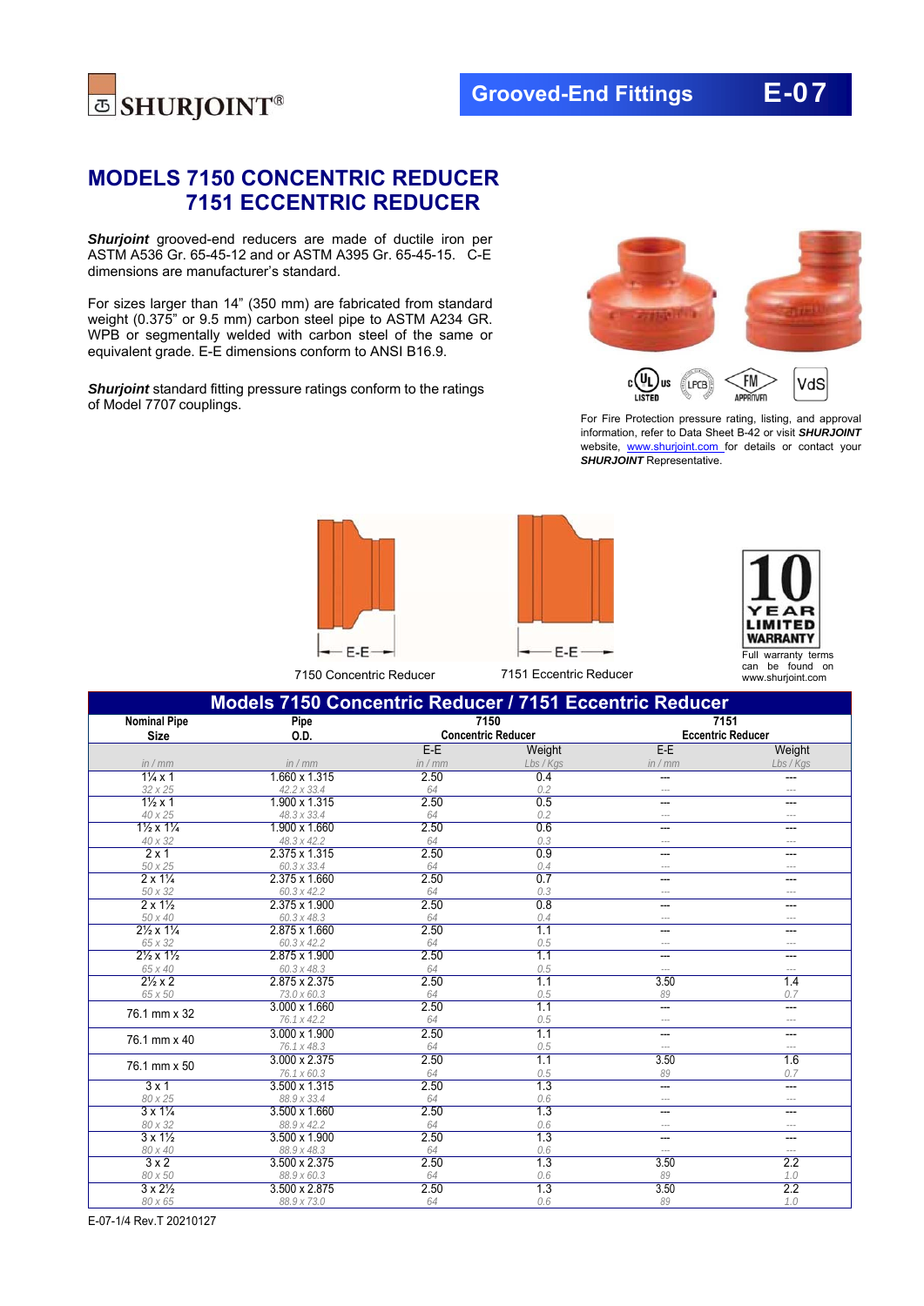

# **MODELS 7150 CONCENTRIC REDUCER 7151 ECCENTRIC REDUCER**

**Shurjoint** grooved-end reducers are made of ductile iron per ASTM A536 Gr. 65-45-12 and or ASTM A395 Gr. 65-45-15. C-E dimensions are manufacturer's standard.

For sizes larger than 14" (350 mm) are fabricated from standard weight (0.375" or 9.5 mm) carbon steel pipe to ASTM A234 GR. WPB or segmentally welded with carbon steel of the same or equivalent grade. E-E dimensions conform to ANSI B16.9.

*Shurjoint* standard fitting pressure ratings conform to the ratings of Model 7707 couplings.



For Fire Protection pressure rating, listing, and approval information, refer to Data Sheet B-42 or visit *SHURJOINT*  website, www.shurjoint.com for details or contact your **SHURJOINT** Representative.







| Models 7150 Concentric Reducer / 7151 Eccentric Reducer |                              |                           |            |                          |              |  |
|---------------------------------------------------------|------------------------------|---------------------------|------------|--------------------------|--------------|--|
| <b>Nominal Pipe</b>                                     | Pipe                         | 7150                      |            | 7151                     |              |  |
| <b>Size</b>                                             | O.D.                         | <b>Concentric Reducer</b> |            | <b>Eccentric Reducer</b> |              |  |
|                                                         |                              | $E-E$                     | Weight     | $E-E$                    | Weight       |  |
| in / mm                                                 | in / mm                      | in/mm                     | Lbs / Kgs  | in / mm                  | Lbs / Kgs    |  |
| $1\frac{1}{4}x1$                                        | 1.660 x 1.315                | 2.50                      | 0.4        | ---                      |              |  |
| 32 x 25                                                 | 42.2 x 33.4                  | 64                        | 0.2        | $---$                    | ---          |  |
| $1\frac{1}{2}x1$                                        | 1.900 x 1.315                | 2.50                      | 0.5        | ---                      | ---          |  |
| 40 x 25                                                 | 48.3 x 33.4                  | 64                        | 0.2        | $---$                    |              |  |
| $1\frac{1}{2}x1\frac{1}{4}$                             | 1.900 x 1.660                | 2.50                      | 0.6        | ---                      | ---          |  |
| 40 x 32                                                 | 48.3 x 42.2                  | 64                        | 0.3        | $\cdots$                 | $- - -$      |  |
| 2x1                                                     | 2.375 x 1.315                | 2.50                      | 0.9        | ---                      | ---          |  |
| 50 x 25                                                 | 60.3 x 33.4                  | 64                        | 0.4        | $---$                    | $---$        |  |
| $2 \times 1\frac{1}{4}$                                 | 2.375 x 1.660                | 2.50                      | 0.7        | ---                      | ---          |  |
| 50 x 32                                                 | 60.3 x 42.2                  | 64                        | 0.3        | $\overline{a}$           | ---          |  |
| $2 \times 1\frac{1}{2}$                                 | 2.375 x 1.900                | 2.50                      | 0.8        | ---                      | ---          |  |
| 50 x 40                                                 | 60.3 x 48.3                  | 64                        | 0.4        | $---$                    | $---$        |  |
| $2\frac{1}{2} \times 1\frac{1}{4}$                      | 2.875 x 1.660                | 2.50                      | 1.1        | ---                      | ---          |  |
| 65 x 32                                                 | 60.3 x 42.2                  | 64                        | 0.5        | $\overline{a}$           | $- - -$      |  |
| $2\frac{1}{2} \times 1\frac{1}{2}$                      | 2.875 x 1.900                | 2.50                      | 1.1        | ---                      | ---          |  |
| 65 x 40                                                 | 60.3 x 48.3                  | 64                        | 0.5        | $\cdots$                 | $\cdots$     |  |
| $2\frac{1}{2}x2$                                        | 2.875 x 2.375                | 2.50                      | 1.1        | 3.50                     | 1.4          |  |
| 65 x 50                                                 | 73.0 x 60.3                  | 64                        | 0.5        | 89                       | 0.7          |  |
| 76.1 mm x 32                                            | 3.000 x 1.660                | 2.50                      | 1.1        | $\overline{a}$           | ---          |  |
|                                                         | 76.1 x 42.2                  | 64                        | 0.5        | $\cdots$                 | $---$        |  |
| 76.1 mm x 40                                            | 3.000 x 1.900                | 2.50                      | 1.1        | ---                      | ---          |  |
|                                                         | 76.1 x 48.3                  | 64                        | 0.5        | $---$                    | $---$        |  |
| 76.1 mm x 50                                            | 3.000 x 2.375                | 2.50                      | 1.1        | 3.50                     | 1.6          |  |
|                                                         | 76.1 x 60.3<br>3.500 x 1.315 | 64<br>2.50                | 0.5<br>1.3 | 89                       | 0.7          |  |
| 3x1                                                     |                              |                           |            | $\overline{a}$           | ---          |  |
| 80 x 25<br>$3 \times 1\frac{1}{4}$                      | 88.9 x 33.4<br>3.500 x 1.660 | 64<br>2.50                | 0.6<br>1.3 | $- - -$                  | $- - -$      |  |
|                                                         |                              |                           |            | ---                      | ---          |  |
| 80 x 32<br>$3 \times 1\frac{1}{2}$                      | 88.9 x 42.2<br>3.500 x 1.900 | 64<br>2.50                | 0.6<br>1.3 | $---$<br>$\overline{a}$  | $\cdots$     |  |
| 80 x 40                                                 | 88.9 x 48.3                  | 64                        | 0.6        |                          | ---<br>$---$ |  |
| 3x2                                                     | 3.500 x 2.375                | 2.50                      | 1.3        | $---$<br>3.50            | 2.2          |  |
| 80 x 50                                                 | 88.9 x 60.3                  | 64                        | 0.6        | 89                       | 1.0          |  |
| $3 \times 2\frac{1}{2}$                                 | 3.500 x 2.875                | 2.50                      | 1.3        | 3.50                     | 2.2          |  |
| 80 x 65                                                 | 88.9 x 73.0                  | 64                        | 0.6        | 89                       | 1.0          |  |
|                                                         |                              |                           |            |                          |              |  |

E-07-1/4 Rev.T 20210127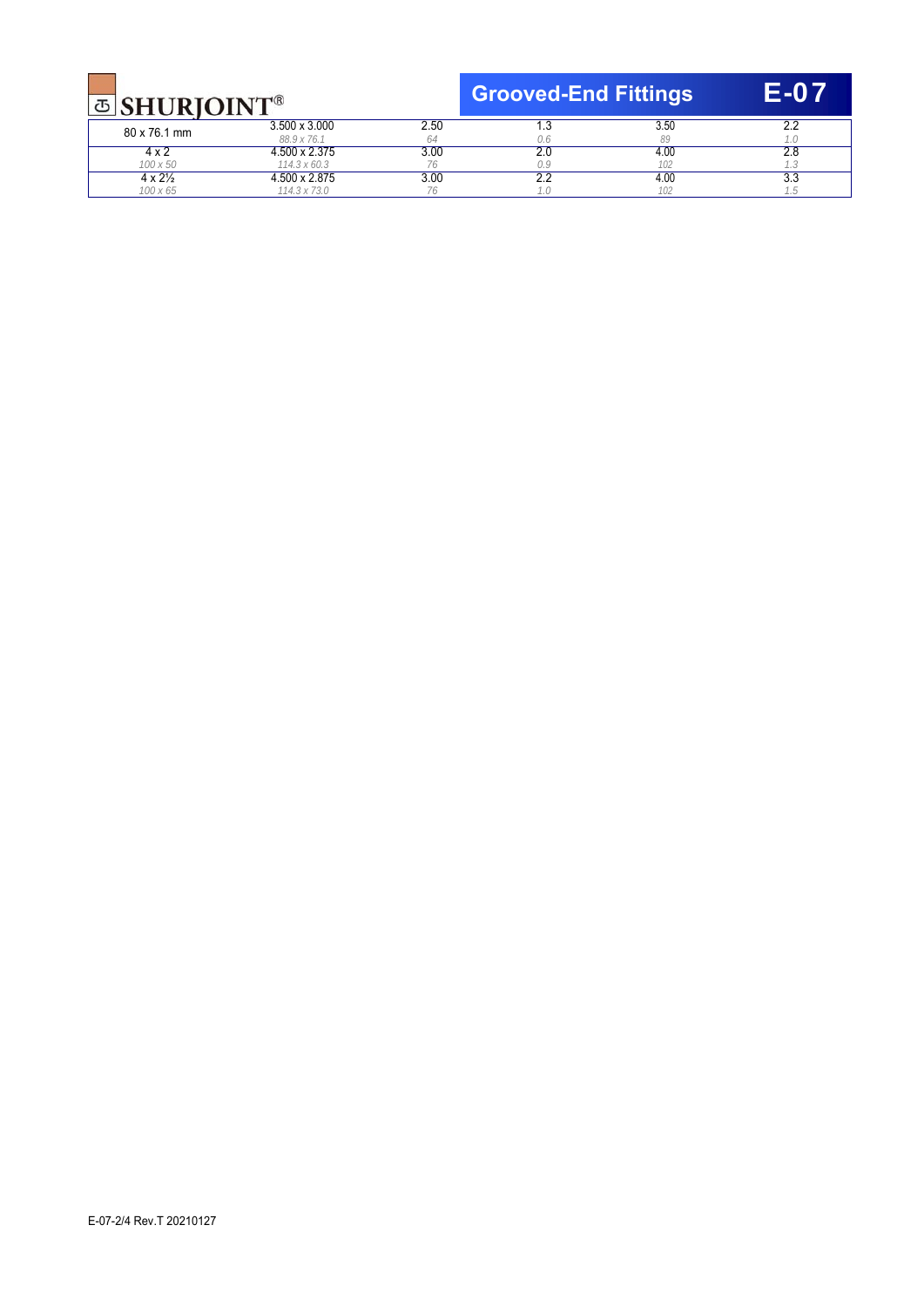| <b>B</b> SHURIOINT |
|--------------------|
|                    |

**Grooved-End Fittings** E-07

| $\Box$ Shuniolis   |                                      |      |         |            |      |  |
|--------------------|--------------------------------------|------|---------|------------|------|--|
| 80 x 76.1 mm       | $3.500 \times 3.000$<br>88.9 x 76.1  | 2.50 |         | 3.50<br>89 |      |  |
|                    | 1.500 x 2.375                        | 3.00 | <u></u> | 4.00       | 2.U  |  |
| 100 x 50<br>4 x 2½ | $114.3 \times 60.3$<br>1.500 x 2.875 | 3.00 | ے . د   | 4.00       | ن. ن |  |
| 100 x 65           | 114.3 x 73.0                         |      |         | 102        |      |  |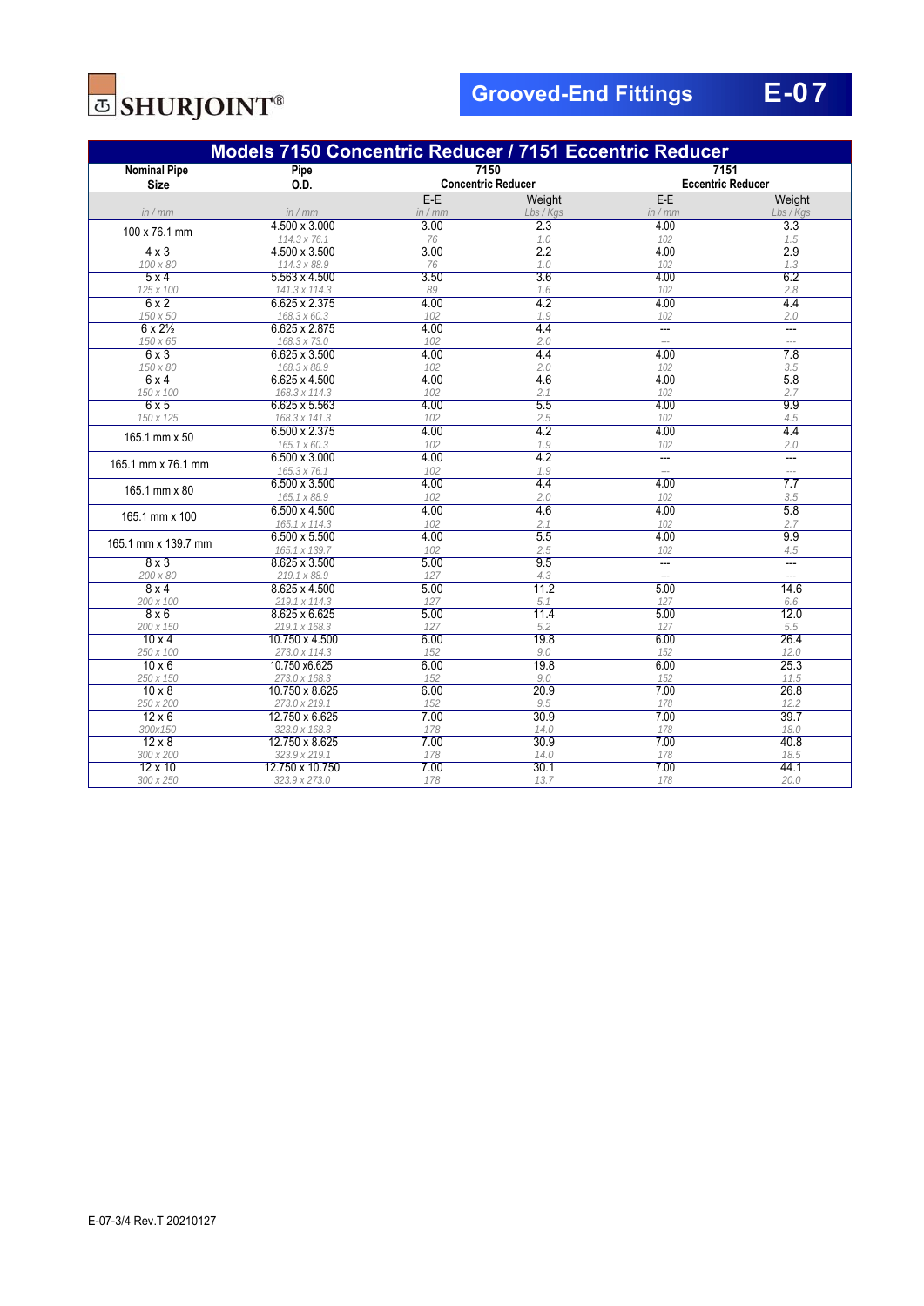

| Models 7150 Concentric Reducer / 7151 Eccentric Reducer |                                 |                                   |             |                                  |                                  |  |
|---------------------------------------------------------|---------------------------------|-----------------------------------|-------------|----------------------------------|----------------------------------|--|
| <b>Nominal Pipe</b><br><b>Size</b>                      | Pipe<br>O.D.                    | 7150<br><b>Concentric Reducer</b> |             | 7151<br><b>Eccentric Reducer</b> |                                  |  |
|                                                         |                                 | $E-E$                             | Weight      | $E-E$                            | Weight                           |  |
| in/mm                                                   | in/mm                           | in / mm                           | Lbs / Kgs   | in / mm                          | Lbs / Kgs                        |  |
| 100 x 76.1 mm                                           | 4.500 x 3.000                   | 3.00                              | 2.3         | 4.00                             | 3.3                              |  |
|                                                         | 114.3 x 76.1                    | 76                                | 1.0         | 102                              | 1.5                              |  |
| $4 \times 3$                                            | 4.500 x 3.500                   | 3.00                              | 2.2         | 4.00                             | 2.9                              |  |
| 100 x 80                                                | 114.3 x 88.9                    | 76                                | 1.0         | 102                              | 1.3                              |  |
| 5x4                                                     | $5.563 \times 4.500$            | 3.50                              | 3.6         | 4.00                             | 6.2                              |  |
| 125 x 100                                               | 141.3 x 114.3                   | 89                                | 1.6         | 102                              | 2.8                              |  |
| 6x2                                                     | 6.625 x 2.375                   | 4.00                              | 4.2         | 4.00                             | 4.4                              |  |
| 150 x 50                                                | 168.3 x 60.3                    | 102                               | 1.9         | 102                              | 2.0                              |  |
| $6 \times 2\frac{1}{2}$                                 | 6.625 x 2.875                   | 4.00                              | 4.4         |                                  | $\overline{a}$<br>$\overline{a}$ |  |
| 150 x 65<br>6x3                                         | 168.3 x 73.0<br>6.625 x 3.500   | 102<br>4.00                       | 2.0<br>4.4  | $\overline{\phantom{a}}$<br>4.00 | 7.8                              |  |
| 150 x 80                                                | 168.3 x 88.9                    | 102                               | 2.0         | 102                              | 3.5                              |  |
| 6x4                                                     | $6.625 \times 4.500$            | 4.00                              | 4.6         | 4.00                             | 5.8                              |  |
| 150 x 100                                               | 168.3 x 114.3                   | 102                               | 2.1         | 102                              | 2.7                              |  |
| 6x5                                                     | 6.625 x 5.563                   | 4.00                              | 5.5         | 4.00                             | 9.9                              |  |
| 150 x 125                                               | 168.3 x 141.3                   | 102                               | 2.5         | 102                              | 4.5                              |  |
| 165.1 mm x 50                                           | 6.500 x 2.375                   | 4.00                              | 4.2         | 4.00                             | 4.4                              |  |
|                                                         | 165.1 x 60.3                    | 102                               | 1.9         | 102                              | 2.0                              |  |
|                                                         | $6.500 \times 3.000$            | 4.00                              | 4.2         | $\overline{a}$                   | $\overline{a}$                   |  |
| 165.1 mm x 76.1 mm                                      | 165.3 x 76.1                    | 102                               | 1.9         |                                  | $---$                            |  |
| 165.1 mm x 80                                           | $6.500 \times 3.500$            | 4.00                              | 4.4         | 4.00                             | $\overline{7.7}$                 |  |
|                                                         | 165.1 x 88.9                    | 102                               | 2.0         | 102                              | 3.5                              |  |
| 165.1 mm x 100                                          | 6.500 x 4.500                   | 4.00                              | 4.6         | 4.00                             | 5.8                              |  |
|                                                         | 165.1 x 114.3                   | 102                               | 2.1         | 102                              | 2.7                              |  |
| 165.1 mm x 139.7 mm                                     | 6.500 x 5.500                   | 4.00                              | 5.5         | 4.00                             | 9.9                              |  |
|                                                         | 165.1 x 139.7                   | 102                               | 2.5         | 102                              | 4.5                              |  |
| 8x3                                                     | 8.625 x 3.500                   | 5.00                              | 9.5         | ---                              | $\overline{a}$                   |  |
| 200 x 80                                                | 219.1 x 88.9                    | 127                               | 4.3         | $\overline{a}$                   | $\overline{a}$                   |  |
| 8x4                                                     | 8.625 x 4.500                   | 5.00                              | 11.2        | 5.00                             | 14.6                             |  |
| 200 x 100                                               | 219.1 x 114.3                   | 127                               | 5.1         | 127                              | 6.6                              |  |
| 8x6                                                     | 8.625 x 6.625                   | 5.00                              | 11.4        | 5.00                             | 12.0                             |  |
| 200 x 150<br>$10 \times 4$                              | 219.1 x 168.3<br>10.750 x 4.500 | 127<br>6.00                       | 5.2<br>19.8 | 127<br>6.00                      | 5.5<br>26.4                      |  |
| 250 x 100                                               | 273.0 x 114.3                   | 152                               | 9.0         | 152                              | 12.0                             |  |
| $10 \times 6$                                           | 10.750 x6.625                   | 6.00                              | 19.8        | 6.00                             | 25.3                             |  |
| 250 x 150                                               | 273.0 x 168.3                   | 152                               | 9.0         | 152                              | 11.5                             |  |
| $10 \times 8$                                           | 10.750 x 8.625                  | 6.00                              | 20.9        | 7.00                             | 26.8                             |  |
| 250 x 200                                               | 273.0 x 219.1                   | 152                               | 9.5         | 178                              | 12.2                             |  |
| $12 \times 6$                                           | 12.750 x 6.625                  | 7.00                              | 30.9        | 7.00                             | 39.7                             |  |
| 300x150                                                 | 323.9 x 168.3                   | 178                               | 14.0        | 178                              | 18.0                             |  |
| $12 \times 8$                                           | 12.750 x 8.625                  | 7.00                              | 30.9        | 7.00                             | 40.8                             |  |
| 300 x 200                                               | 323.9 x 219.1                   | 178                               | 14.0        | 178                              | 18.5                             |  |
| $12 \times 10$                                          | 12.750 x 10.750                 | 7.00                              | 30.1        | 7.00                             | 44.1                             |  |
| 300 x 250                                               | 323.9 x 273.0                   | 178                               | 13.7        | 178                              | 20.0                             |  |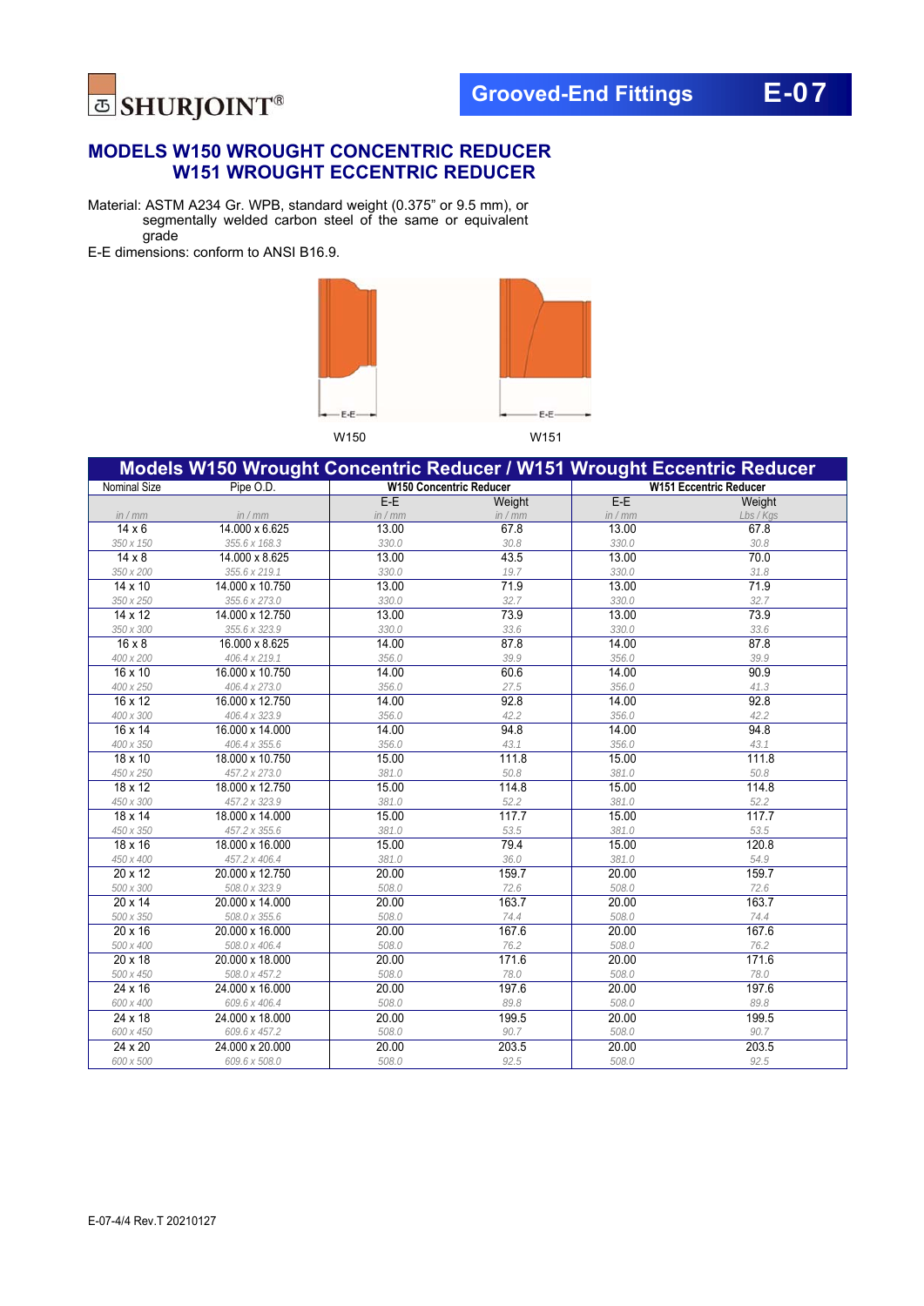

### **MODELS W150 WROUGHT CONCENTRIC REDUCER W151 WROUGHT ECCENTRIC REDUCER**

Material: ASTM A234 Gr. WPB, standard weight (0.375" or 9.5 mm), or segmentally welded carbon steel of the same or equivalent grade

E-E dimensions: conform to ANSI B16.9.



|                     | Models W150 Wrought Concentric Reducer / W151 Wrought Eccentric Reducer |                                |         |         |                               |
|---------------------|-------------------------------------------------------------------------|--------------------------------|---------|---------|-------------------------------|
| <b>Nominal Size</b> | Pipe O.D.                                                               | <b>W150 Concentric Reducer</b> |         |         | <b>W151 Eccentric Reducer</b> |
|                     |                                                                         | $E-E$                          | Weight  | $E-E$   | Weight                        |
| in / mm             | in / mm                                                                 | in / mm                        | in / mm | in / mm | Lbs / Kgs                     |
| $14 \times 6$       | 14.000 x 6.625                                                          | 13.00                          | 67.8    | 13.00   | 67.8                          |
| 350 x 150           | 355.6 x 168.3                                                           | 330.0                          | 30.8    | 330.0   | 30.8                          |
| $14 \times 8$       | 14.000 x 8.625                                                          | 13.00                          | 43.5    | 13.00   | 70.0                          |
| 350 x 200           | 355.6 x 219.1                                                           | 330.0                          | 19.7    | 330.0   | 31.8                          |
| $14 \times 10$      | 14.000 x 10.750                                                         | 13.00                          | 71.9    | 13.00   | 71.9                          |
| 350 x 250           | 355.6 x 273.0                                                           | 330.0                          | 32.7    | 330.0   | 32.7                          |
| 14 x 12             | 14.000 x 12.750                                                         | 13.00                          | 73.9    | 13.00   | 73.9                          |
| 350 x 300           | 355.6 x 323.9                                                           | 330.0                          | 33.6    | 330.0   | 33.6                          |
| $16 \times 8$       | 16.000 x 8.625                                                          | 14.00                          | 87.8    | 14.00   | 87.8                          |
| 400 x 200           | 406.4 x 219.1                                                           | 356.0                          | 39.9    | 356.0   | 39.9                          |
| 16 x 10             | 16.000 x 10.750                                                         | 14.00                          | 60.6    | 14.00   | 90.9                          |
| 400 x 250           | 406.4 x 273.0                                                           | 356.0                          | 27.5    | 356.0   | 41.3                          |
| 16 x 12             | 16.000 x 12.750                                                         | 14.00                          | 92.8    | 14.00   | 92.8                          |
| 400 x 300           | 406.4 x 323.9                                                           | 356.0                          | 42.2    | 356.0   | 42.2                          |
| 16 x 14             | 16.000 x 14.000                                                         | 14.00                          | 94.8    | 14.00   | 94.8                          |
| 400 x 350           | 406.4 x 355.6                                                           | 356.0                          | 43.1    | 356.0   | 43.1                          |
| 18 x 10             | 18.000 x 10.750                                                         | 15.00                          | 111.8   | 15.00   | 111.8                         |
| 450 x 250           | 457.2 x 273.0                                                           | 381.0                          | 50.8    | 381.0   | 50.8                          |
| 18 x 12             | 18.000 x 12.750                                                         | 15.00                          | 114.8   | 15.00   | 114.8                         |
| 450 x 300           | 457.2 x 323.9                                                           | 381.0                          | 52.2    | 381.0   | 52.2                          |
| 18 x 14             | 18.000 x 14.000                                                         | 15.00                          | 117.7   | 15.00   | 117.7                         |
| 450 x 350           | 457.2 x 355.6                                                           | 381.0                          | 53.5    | 381.0   | 53.5                          |
| 18 x 16             | 18.000 x 16.000                                                         | 15.00                          | 79.4    | 15.00   | 120.8                         |
| 450 x 400           | 457.2 x 406.4                                                           | 381.0                          | 36.0    | 381.0   | 54.9                          |
| $20 \times 12$      | 20.000 x 12.750                                                         | 20.00                          | 159.7   | 20.00   | 159.7                         |
| 500 x 300           | 508.0 x 323.9                                                           | 508.0                          | 72.6    | 508.0   | 72.6                          |
| $20 \times 14$      | 20.000 x 14.000                                                         | 20.00                          | 163.7   | 20.00   | 163.7                         |
| 500 x 350           | 508.0 x 355.6                                                           | 508.0                          | 74.4    | 508.0   | 74.4                          |
| 20 x 16             | 20.000 x 16.000                                                         | 20.00                          | 167.6   | 20.00   | 167.6                         |
| 500 x 400           | 508.0 x 406.4                                                           | 508.0                          | 76.2    | 508.0   | 76.2                          |
| 20 x 18             | 20.000 x 18.000                                                         | 20.00                          | 171.6   | 20.00   | 171.6                         |
| 500 x 450           | 508.0 x 457.2                                                           | 508.0                          | 78.0    | 508.0   | 78.0                          |
| 24 x 16             | 24.000 x 16.000                                                         | 20.00                          | 197.6   | 20.00   | 197.6                         |
| 600 x 400           | 609.6 x 406.4                                                           | 508.0                          | 89.8    | 508.0   | 89.8                          |
| 24 x 18             | 24.000 x 18.000                                                         | 20.00                          | 199.5   | 20.00   | 199.5                         |
| 600 x 450           | 609.6 x 457.2                                                           | 508.0                          | 90.7    | 508.0   | 90.7                          |
| 24 x 20             | 24.000 x 20.000                                                         | 20.00                          | 203.5   | 20.00   | 203.5                         |
| 600 x 500           | 609.6 x 508.0                                                           | 508.0                          | 92.5    | 508.0   | 92.5                          |